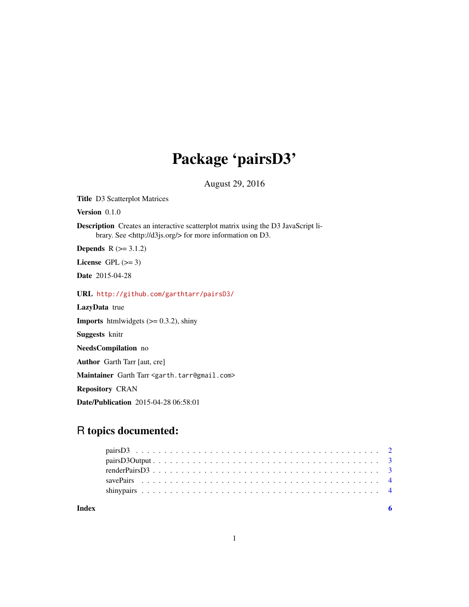# Package 'pairsD3'

August 29, 2016

Title D3 Scatterplot Matrices

Version 0.1.0

Description Creates an interactive scatterplot matrix using the D3 JavaScript library. See <http://d3js.org/> for more information on D3.

**Depends**  $R$  ( $>= 3.1.2$ )

License GPL  $(>= 3)$ 

Date 2015-04-28

URL <http://github.com/garthtarr/pairsD3/>

LazyData true

**Imports** htmlwidgets  $(>= 0.3.2)$ , shiny

Suggests knitr

NeedsCompilation no

Author Garth Tarr [aut, cre]

Maintainer Garth Tarr <garth.tarr@gmail.com>

Repository CRAN

Date/Publication 2015-04-28 06:58:01

# R topics documented:

1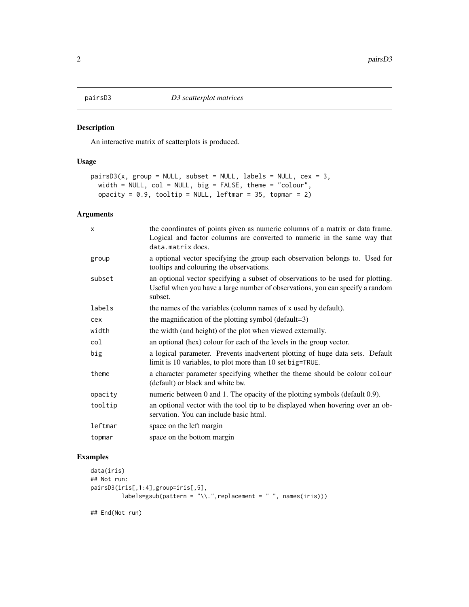<span id="page-1-0"></span>

#### Description

An interactive matrix of scatterplots is produced.

# Usage

```
pairsD3(x, group = NULL, subset = NULL, labels = NULL, cex = 3,
 width = NULL, col = NULL, big = FALSE, theme = "colour",
 opacity = 0.9, tooltip = NULL, leftmar = 35, topmar = 2)
```
# Arguments

| $\mathsf{x}$ | the coordinates of points given as numeric columns of a matrix or data frame.<br>Logical and factor columns are converted to numeric in the same way that<br>data.matrix does. |
|--------------|--------------------------------------------------------------------------------------------------------------------------------------------------------------------------------|
| group        | a optional vector specifying the group each observation belongs to. Used for<br>tooltips and colouring the observations.                                                       |
| subset       | an optional vector specifying a subset of observations to be used for plotting.<br>Useful when you have a large number of observations, you can specify a random<br>subset.    |
| labels       | the names of the variables (column names of x used by default).                                                                                                                |
| cex          | the magnification of the plotting symbol (default=3)                                                                                                                           |
| width        | the width (and height) of the plot when viewed externally.                                                                                                                     |
| col          | an optional (hex) colour for each of the levels in the group vector.                                                                                                           |
| big          | a logical parameter. Prevents inadvertent plotting of huge data sets. Default<br>limit is 10 variables, to plot more than 10 set big=TRUE.                                     |
| theme        | a character parameter specifying whether the theme should be colour colour<br>(default) or black and white bw.                                                                 |
| opacity      | numeric between 0 and 1. The opacity of the plotting symbols (default 0.9).                                                                                                    |
| tooltip      | an optional vector with the tool tip to be displayed when hovering over an ob-<br>servation. You can include basic html.                                                       |
| leftmar      | space on the left margin                                                                                                                                                       |
| topmar       | space on the bottom margin                                                                                                                                                     |

#### Examples

```
data(iris)
## Not run:
pairsD3(iris[,1:4],group=iris[,5],
        labels=gsub(pattern = "\\.",replacement = " ", names(iris)))
```
## End(Not run)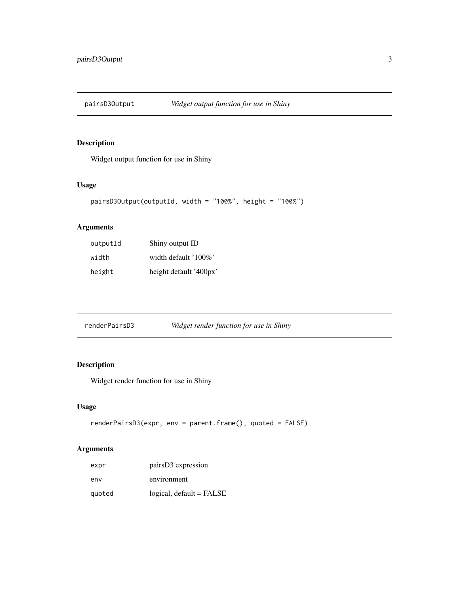<span id="page-2-0"></span>

# Description

Widget output function for use in Shiny

# Usage

```
pairsD3Output(outputId, width = "100%", height = "100%")
```
# Arguments

| outputId | Shiny output ID        |
|----------|------------------------|
| width    | width default '100%'   |
| height   | height default '400px' |

renderPairsD3 *Widget render function for use in Shiny*

# Description

Widget render function for use in Shiny

# Usage

```
renderPairsD3(expr, env = parent.frame(), quoted = FALSE)
```
# Arguments

| expr   | pairs D3 expression      |
|--------|--------------------------|
| env    | environment              |
| quoted | logical, default = FALSE |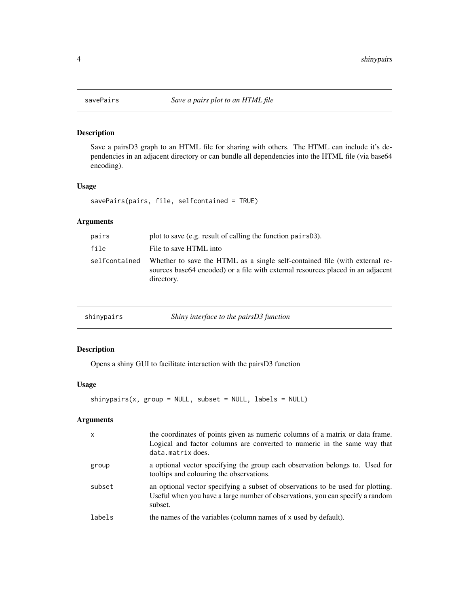<span id="page-3-0"></span>

# Description

Save a pairsD3 graph to an HTML file for sharing with others. The HTML can include it's dependencies in an adjacent directory or can bundle all dependencies into the HTML file (via base64 encoding).

#### Usage

savePairs(pairs, file, selfcontained = TRUE)

# Arguments

| pairs         | plot to save (e.g. result of calling the function pairs D3).                                                                                                                  |
|---------------|-------------------------------------------------------------------------------------------------------------------------------------------------------------------------------|
| file          | File to save HTML into                                                                                                                                                        |
| selfcontained | Whether to save the HTML as a single self-contained file (with external re-<br>sources base 64 encoded) or a file with external resources placed in an adjacent<br>directory. |

|  | shinypairs | Shiny interface to the pairsD3 function |
|--|------------|-----------------------------------------|
|--|------------|-----------------------------------------|

# Description

Opens a shiny GUI to facilitate interaction with the pairsD3 function

#### Usage

```
shinypairs(x, group = NULL, subset = NULL, labels = NULL)
```
# Arguments

| $\mathsf{x}$ | the coordinates of points given as numeric columns of a matrix or data frame.<br>Logical and factor columns are converted to numeric in the same way that<br>data.matrix does. |
|--------------|--------------------------------------------------------------------------------------------------------------------------------------------------------------------------------|
| group        | a optional vector specifying the group each observation belongs to. Used for<br>tooltips and colouring the observations.                                                       |
| subset       | an optional vector specifying a subset of observations to be used for plotting.<br>Useful when you have a large number of observations, you can specify a random<br>subset.    |
| labels       | the names of the variables (column names of x used by default).                                                                                                                |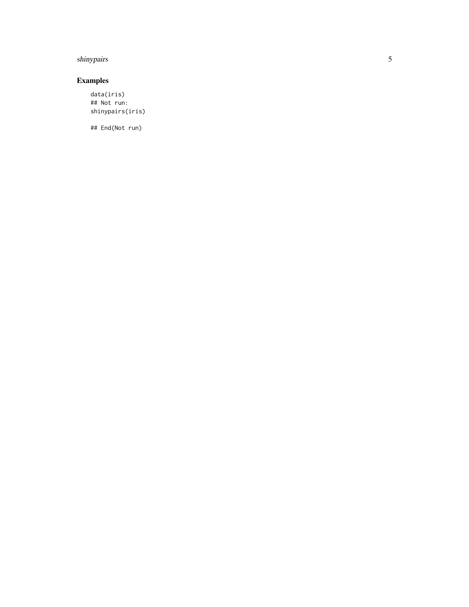# shinypairs

# Examples

data(iris) ## Not run: shinypairs(iris)

## End(Not run)